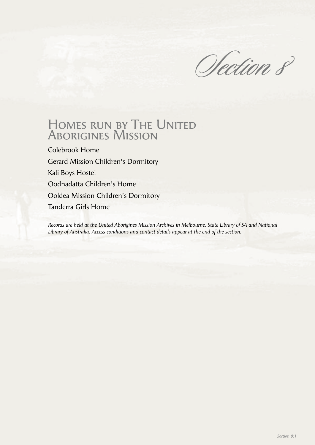Olection 8

# Homes run by The United Aborigines Mission

Colebrook Home Gerard Mission Children's Dormitory Kali Boys Hostel Oodnadatta Children's Home Ooldea Mission Children's Dormitory Tanderra Girls Home

*Records are held at the United Aborigines Mission Archives in Melbourne, State Library of SA and National Library of Australia. Access conditions and contact details appear at the end of the section.*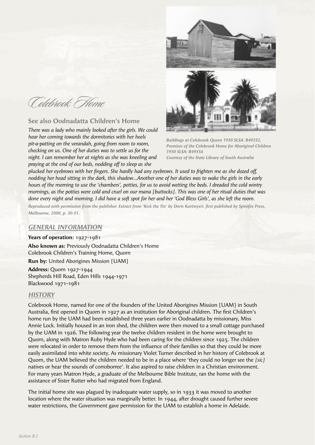Colebrook Home

# **See also Oodnadatta Children's Home**

*There was a lady who mainly looked after the girls. We could hear her coming towards the dormitories with her heels pit-a-patting on the verandah, going from room to room, checking on us. One of her duties was to settle us for the night. I can remember her at nights as she was kneeling and praying at the end of our beds, nodding off to sleep as she* 





*Buildings at Colebrook Quorn 1930 SLSA: B49352, Premises of the Colebrook Home for Aboriginal Children 1930 SLSA: B49356 Courtesy of the State Library of South Australia*

plucked her eyebrows with her fingers. She hardly had any eyebrows. It used to frighten me as she dozed off, *nodding her head sitting in the dark, this shadow…Another one of her duties was to wake the girls in the early hours of the morning to use the 'chambers', potties, for us to avoid wetting the beds. I dreaded the cold wintry mornings, as the potties were cold and cruel on our mana [buttocks]. This was one of her ritual duties that was done every night and morning. I did have a soft spot for her and her 'God Bless Girls', as she left the room. Reproduced with permission from the publisher. Extract from 'Kick the Tin' by Doris Kartinyeri, first published by Spinifex Press, Melbourne, 2000, p. 30-31.*

# *GENERAL INFORMATION*

## **Years of operation:** 1927-1981

**Also known as:** Previously Oodnadatta Children's Home Colebrook Children's Training Home, Quorn **Run by:** United Aborigines Mission [UAM]

**Address:** Quorn 1927-1944 Shepherds Hill Road, Eden Hills 1944-1971 Blackwood 1971-1981

## *HISTORY*

Colebrook Home, named for one of the founders of the United Aborigines Mission [UAM] in South Australia, first opened in Quorn in 1927 as an institution for Aboriginal children. The first Children's home run by the UAM had been established three years earlier in Oodnadatta by missionary, Miss Annie Lock. Initially housed in an iron shed, the children were then moved to a small cottage purchased by the UAM in 1926. The following year the twelve children resident in the home were brought to Quorn, along with Matron Ruby Hyde who had been caring for the children since 1925. The children were relocated in order to remove them from the influence of their families so that they could be more easily assimilated into white society. As missionary Violet Turner described in her history of Colebrook at Quorn, the UAM believed the children needed to be in a place where 'they could no longer see the *[sic]* natives or hear the sounds of corroborree'. It also aspired to raise children in a Christian environment. For many years Matron Hyde, a graduate of the Melbourne Bible Institute, ran the home with the assistance of Sister Rutter who had migrated from England.

The initial home site was plagued by inadequate water supply, so in 1933 it was moved to another location where the water situation was marginally better. In 1944, after drought caused further severe water restrictions, the Government gave permission for the UAM to establish a home in Adelaide.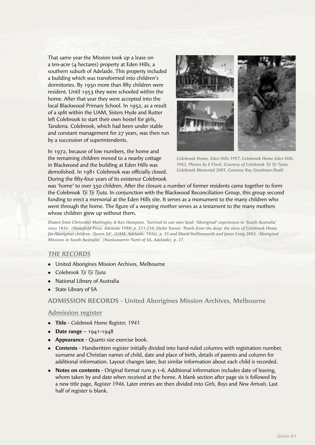That same year the Mission took up a lease on a ten-acre (4 hectares) property at Eden Hills, a southern suburb of Adelaide. This property included a building which was transformed into children's dormitories. By 1950 more than fifty children were resident. Until 1953 they were schooled within the home. After that year they were accepted into the local Blackwood Primary School. In 1952, as a result of a split within the UAM, Sisters Hyde and Rutter left Colebrook to start their own hostel for girls, Tanderra. Colebrook, which had been under stable and constant management for 27 years, was then run by a succession of superintendents.

In 1972, because of low numbers, the home and the remaining children moved to a nearby cottage in Blackwood and the building at Eden Hills was demolished. In 1981 Colebrook was officially closed. During the fifty-four years of its existence Colebrook



*Colebrook Home, Eden Hills 1957, Colebrook Home Eden Hills 1962, Photos by E Finck, Courtesy of Colebrook Tji Tji Tjuta. Colebrook Memorial 2005, Courtesy Kay Goodman-Dodd*

was 'home' to over 350 children. After the closure a number of former residents came together to form the Colebrook *Tji Tji Tjuta.* In conjunction with the Blackwood Reconciliation Group, this group secured funding to erect a memorial at the Eden Hills site. It serves as a monument to the many children who went through the home. The figure of a weeping mother serves as a testament to the many mothers whose children grew up without them.

*Drawn from Christobel Mattingley & Ken Hampton, 'Survival in our own land: 'Aboriginal' experiences in 'South Australia'*  since 1836', (Wakefield Press, Adelaide 1988) p. 211-219; Violet Turner, 'Pearls from the deep: the story of Colebrook Home *for Aboriginal children, Quorn SA', (UAM, Adelaide, 1936), p. 35 and David Hollinsworth and Janet Craig 2003, 'Aboriginal Missions in South Australia'. (Nunkuwarrin Yunti of SA, Adelaide), p. 17.*

# *THE RECORDS*

- United Aborigines Mission Archives, Melbourne
- <sup>l</sup> Colebrook *Tji Tji Tjuta*
- National Library of Australia
- State Library of SA

## **ADMISSION RECORDS - United Aborigines Mission Archives, Melbourne**

#### **Admission register**

- <sup>l</sup> **Title** *Colebrook Home Register, 1941*
- **Date range**  $1941-1948$
- **Appearance** Quarto size exercise book.
- **Contents** Handwritten register initially divided into hand-ruled columns with registration number, surname and Christian names of child, date and place of birth, details of parents and column for additional information. Layout changes later, but similar information about each child is recorded.
- **Notes on contents** Original format runs p.1-6. Additional information includes date of leaving, whom taken by and date when received at the home. A blank section after page six is followed by a new title page, *Register 1946*. Later entries are then divided into *Girls, Boys* and *New Arrivals.* Last half of register is blank.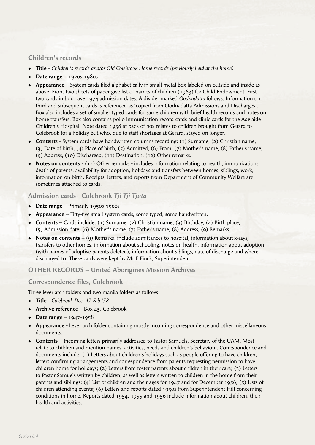# **Children's records**

- <sup>l</sup> **Title** *Children's records and/or Old Colebrook Home records (previously held at the home)*
- **•** Date range 1920s-1980s
- **Appearance** System cards filed alphabetically in small metal box labeled on outside and inside as above. Front two sheets of paper give list of names of children (1963) for Child Endowment. First two cards in box have 1974 admission dates. A divider marked *Oodnadatta* follows. Information on third and subsequent cards is referenced as 'copied from Oodnadatta Admissions and Discharges'. Box also includes a set of smaller typed cards for same children with brief health records and notes on home transfers. Box also contains polio immunisation record cards and clinic cards for the Adelaide Children's Hospital. Note dated 1958 at back of box relates to children brought from Gerard to Colebrook for a holiday but who, due to staff shortages at Gerard, stayed on longer.
- **Contents** System cards have handwritten columns recording: (1) Surname, (2) Christian name, (3) Date of birth, (4) Place of birth, (5) Admitted, (6) From, (7) Mother's name, (8) Father's name, (9) Address, (10) Discharged, (11) Destination, (12) Other remarks.
- **Notes on contents** (12) Other remarks includes information relating to health, immunizations, death of parents, availability for adoption, holidays and transfers between homes, siblings, work, information on birth. Receipts, letters, and reports from Department of Community Welfare are sometimes attached to cards.

# **Admission cards - Colebrook** *Tji Tji Tjuta*

- **Date range** Primarily 1950s-1960s
- **Appearance** Fifty-five small system cards, some typed, some handwritten.
- **Contents** Cards include: (1) Surname, (2) Christian name, (3) Birthday, (4) Birth place, (5) Admission date, (6) Mother's name, (7) Father's name, (8) Address, (9) Remarks.
- **Notes on contents** (9) Remarks: include admittances to hospital, information about x-rays, transfers to other homes, information about schooling, notes on health, information about adoption (with names of adoptive parents deleted), information about siblings, date of discharge and where discharged to. These cards were kept by Mr E Finck, Superintendent.

## **OTHER RECORDS – United Aborigines Mission Archives**

#### **Correspondence files, Colebrook**

Three lever arch folders and two manila folders as follows:

- <sup>l</sup> **Title** *Colebrook Dec '47-Feb '58*
- **Archive reference** Box 45, Colebrook
- **Date range**  $1947-1958$
- **Appearance** Lever arch folder containing mostly incoming correspondence and other miscellaneous documents.
- **Contents** Incoming letters primarily addressed to Pastor Samuels, Secretary of the UAM. Most relate to children and mention names, activities, needs and children's behaviour. Correspondence and documents include: (1) Letters about children's holidays such as people offering to have children, letters confirming arrangements and correspondence from parents requesting permission to have children home for holidays; (2) Letters from foster parents about children in their care; (3) Letters to Pastor Samuels written by children, as well as letters written to children in the home from their parents and siblings; (4) List of children and their ages for 1947 and for December 1956; (5) Lists of children attending events; (6) Letters and reports dated 1950s from Superintendent Hill concerning conditions in home. Reports dated 1954, 1955 and 1956 include information about children, their health and activities.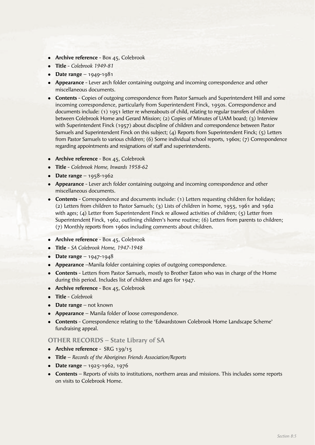- **Archive reference** Box 45, Colebrook
- <sup>l</sup> **Title** *Colebrook 1949-81*
- **•** Date range 1949-1981
- **Appearance** Lever arch folder containing outgoing and incoming correspondence and other miscellaneous documents.
- **Contents** Copies of outgoing correspondence from Pastor Samuels and Superintendent Hill and some incoming correspondence, particularly from Superintendent Finck, 1950s. Correspondence and documents include: (1) 1951 letter re whereabouts of child, relating to regular transfers of children between Colebrook Home and Gerard Mission; (2) Copies of Minutes of UAM board; (3) Interview with Superintendent Finck (1957) about discipline of children and correspondence between Pastor Samuels and Superintendent Finck on this subject; (4) Reports from Superintendent Finck; (5) Letters from Pastor Samuels to various children; (6) Some individual school reports, 1960s; (7) Correspondence regarding appointments and resignations of staff and superintendents.
- **Archive reference** Box 45, Colebrook
- <sup>l</sup> **Title** *Colebrook Home, Inwards 1958-62*
- **•** Date range  $1958-1962$
- **Appearance** Lever arch folder containing outgoing and incoming correspondence and other miscellaneous documents.
- **Contents** Correspondence and documents include: (1) Letters requesting children for holidays; (2) Letters from children to Pastor Samuels; (3) Lists of children in home, 1955, 1961 and 1962 with ages; (4) Letter from Superintendent Finck re allowed activities of children; (5) Letter from Superintendent Finck, 1962, outlining children's home routine; (6) Letters from parents to children; (7) Monthly reports from 1960s including comments about children.
- **Archive reference** Box 45, Colebrook
- <sup>l</sup> **Title** *SA Colebrook Home, 1947-1948*
- **•** Date range  $1947-1948$
- **Appearance** –Manila folder containing copies of outgoing correspondence.
- **Contents** Letters from Pastor Samuels, mostly to Brother Eaton who was in charge of the Home during this period. Includes list of children and ages for 1947.
- **Archive reference** Box 45, Colebrook
- <sup>l</sup> **Title** *Colebrook*
- **Date range** not known
- **Appearance** Manila folder of loose correspondence.
- **Contents** Correspondence relating to the 'Edwardstown Colebrook Home Landscape Scheme' fundraising appeal.

## **OTHER RECORDS – State Library of SA**

- **Archive reference** SRG 139/15
- <sup>l</sup> **Title** *Records of the Aborigines Friends Association/Reports*
- **•** Date range 1925-1962, 1976
- **Contents** Reports of visits to institutions, northern areas and missions. This includes some reports on visits to Colebrook Home.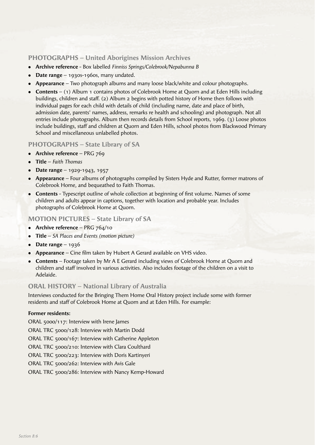# **PHOTOGRAPHS – United Aborigines Mission Archives**

- **Archive reference** Box labelled *Finniss Springs/Colebrook/Nepabunna B*
- **Date range** 1930s-1960s, many undated.
- **Appearance** Two photograph albums and many loose black/white and colour photographs.
- **Contents** (1) Album 1 contains photos of Colebrook Home at Quorn and at Eden Hills including buildings, children and staff. (2) Album 2 begins with potted history of Home then follows with individual pages for each child with details of child (including name, date and place of birth, admission date, parents' names, address, remarks re health and schooling) and photograph. Not all entries include photographs. Album then records details from School reports, 1969. (3) Loose photos include buildings, staff and children at Quorn and Eden Hills, school photos from Blackwood Primary School and miscellaneous unlabelled photos.

## **PHOTOGRAPHS – State Library of SA**

- **Archive reference** PRG 769
- <sup>l</sup> **Title** *Faith Thomas*
- <sup>l</sup> **Date range** 1929-1943, 1957
- **Appearance** Four albums of photographs compiled by Sisters Hyde and Rutter, former matrons of Colebrook Home, and bequeathed to Faith Thomas.
- **Contents** Typescript outline of whole collection at beginning of first volume. Names of some children and adults appear in captions, together with location and probable year. Includes photographs of Colebrook Home at Quorn.

## **MOTION PICTURES – State Library of SA**

- **Archive reference** PRG 764/10
- **Title** *SA Places and Events (motion picture)*
- **Date range**  $-1936$
- **Appearance** Cine film taken by Hubert A Gerard available on VHS video.
- **Contents** Footage taken by Mr A E Gerard including views of Colebrook Home at Quorn and children and staff involved in various activities. Also includes footage of the children on a visit to Adelaide.

## **ORAL HISTORY – National Library of Australia**

Interviews conducted for the Bringing Them Home Oral History project include some with former residents and staff of Colebrook Home at Quorn and at Eden Hills. For example:

#### **Former residents:**

ORAL 5000/117: Interview with Irene James ORAL TRC 5000/128: Interview with Martin Dodd ORAL TRC 5000/167: Interview with Catherine Appleton ORAL TRC 5000/210: Interview with Clara Coulthard ORAL TRC 5000/223: Interview with Doris Kartinyeri ORAL TRC 5000/262: Interview with Avis Gale

ORAL TRC 5000/286: Interview with Nancy Kemp-Howard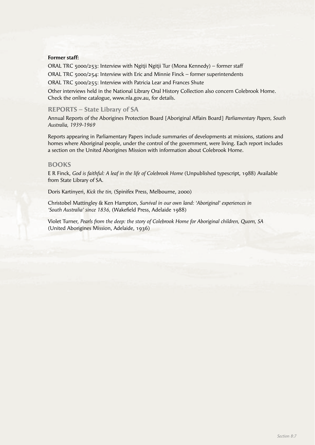#### **Former staff:**

ORAL TRC 5000/253: Interview with Ngitji Ngitji Tur (Mona Kennedy) – former staff ORAL TRC 5000/254: Interview with Eric and Minnie Finck – former superintendents ORAL TRC 5000/255: Interview with Patricia Lear and Frances Shute

Other interviews held in the National Library Oral History Collection also concern Colebrook Home. Check the online catalogue, www.nla.gov.au, for details.

#### **REPORTS – State Library of SA**

Annual Reports of the Aborigines Protection Board [Aboriginal Affairs Board] *Parliamentary Papers, South Australia, 1939-1969*

Reports appearing in Parliamentary Papers include summaries of developments at missions, stations and homes where Aboriginal people, under the control of the government, were living. Each report includes a section on the United Aborigines Mission with information about Colebrook Home.

#### **BOOKS**

E R Finck, *God is faithful: A leaf in the life of Colebrook Home* (Unpublished typescript, 1988) Available from State Library of SA.

Doris Kartinyeri, *Kick the tin,* (Spinifex Press, Melbourne, 2000)

Christobel Mattingley & Ken Hampton, *Survival in our own land: 'Aboriginal' experiences in*  'South Australia' since 1836, (Wakefield Press, Adelaide 1988)

Violet Turner, *Pearls from the deep: the story of Colebrook Home for Aboriginal children, Quorn, SA*  (United Aborigines Mission, Adelaide, 1936)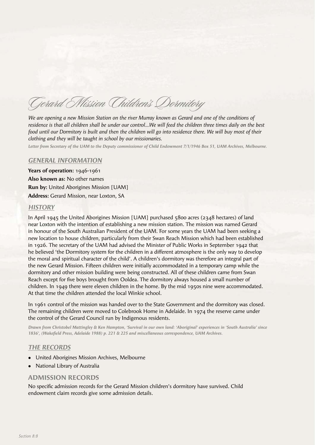Gerard Mission Children's Dormitory

*We are opening a new Mission Station on the river Murray known as Gerard and one of the conditions of residence is that all children shall be under our control…We will feed the children three times daily on the best food until our Dormitory is built and then the children will go into residence there. We will buy most of their clothing and they will be taught in school by our missionaries.* 

*Letter from Secretary of the UAM to the Deputy commissioner of Child Endowment 7/1/1946 Box 51, UAM Archives, Melbourne.*

#### *GENERAL INFORMATION*

**Years of operation:** 1946-1961 **Also known as:** No other names **Run by:** United Aborigines Mission [UAM] **Address:** Gerard Mission, near Loxton, SA

#### *HISTORY*

In April 1945 the United Aborigines Mission [UAM] purchased 5800 acres (2348 hectares) of land near Loxton with the intention of establishing a new mission station. The mission was named Gerard in honour of the South Australian President of the UAM. For some years the UAM had been seeking a new location to house children, particularly from their Swan Reach Mission which had been established in 1926. The secretary of the UAM had advised the Minister of Public Works in September 1942 that he believed 'the Dormitory system for the children in a different atmosphere is the only way to develop the moral and spiritual character of the child'. A children's dormitory was therefore an integral part of the new Gerard Mission. Fifteen children were initially accommodated in a temporary camp while the dormitory and other mission building were being constructed. All of these children came from Swan Reach except for five boys brought from Ooldea. The dormitory always housed a small number of children. In 1949 there were eleven children in the home. By the mid 1950s nine were accommodated. At that time the children attended the local Winkie school.

In 1961 control of the mission was handed over to the State Government and the dormitory was closed. The remaining children were moved to Colebrook Home in Adelaide. In 1974 the reserve came under the control of the Gerard Council run by Indigenous residents.

*Drawn from Christobel Mattingley & Ken Hampton, 'Survival in our own land: 'Aboriginal' experiences in 'South Australia' since*  1836', (Wakefield Press, Adelaide 1988) p. 221 & 225 and miscellaneous correspondence, UAM Archives.

#### *THE RECORDS*

- United Aborigines Mission Archives, Melbourne
- National Library of Australia

#### **ADMISSION RECORDS**

No specific admission records for the Gerard Mission children's dormitory have survived. Child endowment claim records give some admission details.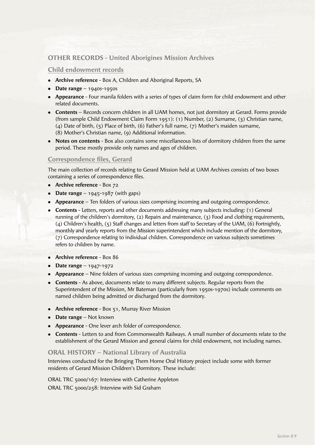# **OTHER RECORDS - United Aborigines Mission Archives**

#### **Child endowment records**

- **Archive reference** Box A, Children and Aboriginal Reports, SA
- $\bullet$  **Date range** 1940s-1950s
- **Appearance** Four manila folders with a series of types of claim form for child endowment and other related documents.
- **Contents** Records concern children in all UAM homes, not just dormitory at Gerard. Forms provide (from sample Child Endowment Claim Form 1951): (1) Number, (2) Surname, (3) Christian name, (4) Date of birth, (5) Place of birth, (6) Father's full name, (7) Mother's maiden surname, (8) Mother's Christian name, (9) Additional information.
- Notes on contents Box also contains some miscellaneous lists of dormitory children from the same period. These mostly provide only names and ages of children.

## **Correspondence files, Gerard**

The main collection of records relating to Gerard Mission held at UAM Archives consists of two boxes containing a series of correspondence files.

- **•** Archive reference Box 72
- **Date range**  $-$  1945-1987 (with gaps)
- **Appearance** Ten folders of various sizes comprising incoming and outgoing correspondence.
- **Contents** Letters, reports and other documents addressing many subjects including: (1) General running of the children's dormitory, (2) Repairs and maintenance, (3) Food and clothing requirements, (4) Children's health, (5) Staff changes and letters from staff to Secretary of the UAM, (6) Fortnightly, monthly and yearly reports from the Mission superintendent which include mention of the dormitory, (7) Correspondence relating to individual children. Correspondence on various subjects sometimes refers to children by name.
- **Archive reference** Box 86
- Date range  $1947-1972$
- **Appearance** Nine folders of various sizes comprising incoming and outgoing correspondence.
- **Contents** As above, documents relate to many different subjects. Regular reports from the Superintendent of the Mission, Mr Bateman (particularly from 1950s-1970s) include comments on named children being admitted or discharged from the dormitory.
- **Archive reference** Box 51, Murray River Mission
- **Date range** Not known
- **Appearance** One lever arch folder of correspondence.
- <sup>l</sup> **Contents** Letters to and from Commonwealth Railways. A small number of documents relate to the establishment of the Gerard Mission and general claims for child endowment, not including names.

#### **ORAL HISTORY – National Library of Australia**

Interviews conducted for the Bringing Them Home Oral History project include some with former residents of Gerard Mission Children's Dormitory. These include:

ORAL TRC 5000/167: Interview with Catherine Appleton ORAL TRC 5000/258: Interview with Sid Graham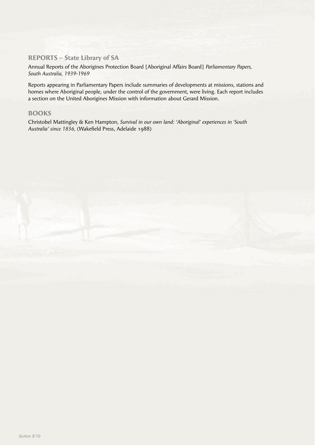# **REPORTS – State Library of SA**

Annual Reports of the Aborigines Protection Board [Aboriginal Affairs Board] *Parliamentary Papers, South Australia, 1939-1969*

Reports appearing in Parliamentary Papers include summaries of developments at missions, stations and homes where Aboriginal people, under the control of the government, were living. Each report includes a section on the United Aborigines Mission with information about Gerard Mission.

## **BOOKS**

Christobel Mattingley & Ken Hampton, *Survival in our own land: 'Aboriginal' experiences in 'South*  Australia' since 1836, (Wakefield Press, Adelaide 1988)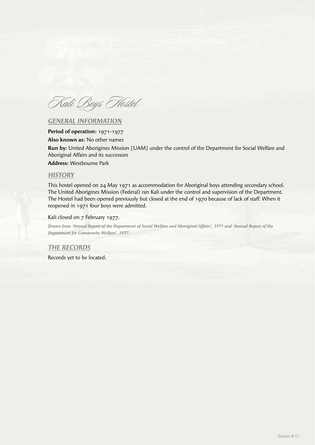Kali Boys Hostel

## *GENERAL INFORMATION*

**Period of operation:** 1971-1977

**Also known as:** No other names

**Run by:** United Aborigines Mission [UAM] under the control of the Department for Social Welfare and Aboriginal Affairs and its successors

**Address:** Westbourne Park

## *HISTORY*

This hostel opened on 24 May 1971 as accommodation for Aboriginal boys attending secondary school. The United Aborigines Mission (Federal) ran Kali under the control and supervision of the Department. The Hostel had been opened previously but closed at the end of 1970 because of lack of staff. When it reopened in 1971 four boys were admitted.

#### Kali closed on 7 February 1977.

*Drawn from 'Annual Report of the Department of Social Welfare and Aboriginal Affairs', 1971 and 'Annual Report of the Department for Community Welfare', 1977.*

#### *THE RECORDS*

Records yet to be located.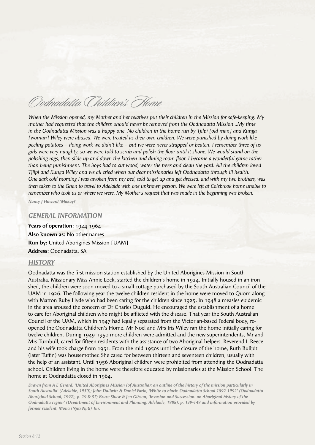Oodnadatta Children's Home

*When the Mission opened, my Mother and her relatives put their children in the Mission for safe-keeping. My mother had requested that the children should never be removed from the Oodnadatta Mission…My time in the Oodnadatta Mission was a happy one. No children in the home run by Tjilpi [old man] and Kunga [woman] Wiley were abused. We were treated as their own children. We were punished by doing work like peeling potatoes – doing work we didn't like – but we were never strapped or beaten. I remember three of us girls were very naughty, so we were told to scrub and polish the fl oor until it shone. We would stand on the polishing rags, then slide up and down the kitchen and dining room floor. I became a wonderful game rather than being punishment. The boys had to cut wood, water the trees and clean the yard. All the children loved Tjilpi and Kunga Wiley and we all cried when our dear missionaries left Oodnadatta through ill health. One dark cold morning I was awoken from my bed, told to get up and get dressed, and with my two brothers, was then taken to the Ghan to travel to Adelaide with one unknown person. We were left at Colebrook home unable to remember who took us or where we were. My Mother's request that was made in the beginning was broken.*

*Nancy J Howard 'Makayi'*

#### *GENERAL INFORMATION*

**Years of operation:** 1924-1964 **Also known as:** No other names **Run by:** United Aborigines Mission [UAM] **Address:** Oodnadatta, SA

### *HISTORY*

Oodnadatta was the first mission station established by the United Aborigines Mission in South Australia. Missionary Miss Annie Lock, started the children's home in 1924. Initially housed in an iron shed, the children were soon moved to a small cottage purchased by the South Australian Council of the UAM in 1926. The following year the twelve children resident in the home were moved to Quorn along with Matron Ruby Hyde who had been caring for the children since 1925. In 1948 a measles epidemic in the area aroused the concern of Dr Charles Duguid. He encouraged the establishment of a home to care for Aboriginal children who might be afflicted with the disease. That year the South Australian Council of the UAM, which in 1947 had legally separated from the Victorian-based Federal body, reopened the Oodnadatta Children's Home. Mr Noel and Mrs Iris Wiley ran the home initially caring for twelve children. During 1949-1950 more children were admitted and the new superintendents, Mr and Mrs Turnbull, cared for fifteen residents with the assistance of two Aboriginal helpers. Reverend L Reece and his wife took charge from 1951. From the mid 1950s until the closure of the home, Ruth Bullpit (later Tuffin) was housemother. She cared for between thirteen and seventeen children, usually with the help of an assistant. Until 1956 Aboriginal children were prohibited from attending the Oodnadatta school. Children living in the home were therefore educated by missionaries at the Mission School. The home at Oodnadatta closed in 1964.

*Drawn from A E Gerard, 'United Aborigines Mission (of Australia): an outline of the history of the mission particularly in South Australia' (Adelaide, 1950); John Dallwitz & Daniel Fazio, 'White to black: Oodnadatta School 1892-1992' (Oodnadatta Aboriginal School, 1992), p. 19 & 37; Bruce Shaw & Jen Gibson, 'Invasion and Succession: an Aboriginal history of the Oodnadatta region' (Department of Environment and Planning, Adelaide, 1988), p, 139-149 and information provided by former resident, Mona (Njiti Njiti) Tur.*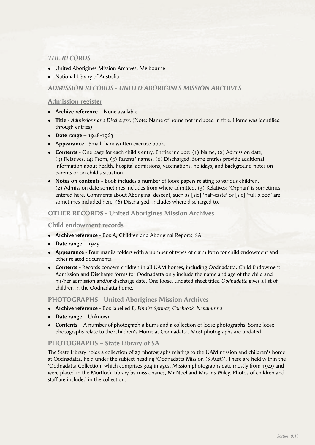# *THE RECORDS*

- United Aborigines Mission Archives, Melbourne
- National Library of Australia

## *ADMISSION RECORDS - UNITED ABORIGINES MISSION ARCHIVES*

## **Admission register**

- **Archive reference** None available
- **Title** *Admissions and Discharges.* (Note: Name of home not included in title. Home was identified through entries)
- **•** Date range  $1948-1963$
- **Appearance** Small, handwritten exercise book.
- <sup>l</sup> **Contents** One page for each child's entry. Entries include: (1) Name, (2) Admission date, (3) Relatives, (4) From, (5) Parents' names, (6) Discharged. Some entries provide additional information about health, hospital admissions, vaccinations, holidays, and background notes on parents or on child's situation.
- **Notes on contents** Book includes a number of loose papers relating to various children. (2) Admission date sometimes includes from where admitted. (3) Relatives: 'Orphan' is sometimes entered here. Comments about Aboriginal descent, such as [sic] 'half-caste' or [sic] 'full blood' are sometimes included here. (6) Discharged: includes where discharged to.

## **OTHER RECORDS - United Aborigines Mission Archives**

## **Child endowment records**

- **Archive reference** Box A, Children and Aboriginal Reports, SA
- **•** Date range  $-1949$
- **Appearance** Four manila folders with a number of types of claim form for child endowment and other related documents.
- **Contents** Records concern children in all UAM homes, including Oodnadatta. Child Endowment Admission and Discharge forms for Oodnadatta only include the name and age of the child and his/her admission and/or discharge date. One loose, undated sheet titled *Oodnadatta* gives a list of children in the Oodnadatta home.

#### **PHOTOGRAPHS - United Aborigines Mission Archives**

- **Archive reference** Box labelled *B, Finniss Springs, Colebrook, Nepabunna*
- **Date range** Unknown
- **Contents** A number of photograph albums and a collection of loose photographs. Some loose photographs relate to the Children's Home at Oodnadatta. Most photographs are undated.

# **PHOTOGRAPHS – State Library of SA**

The State Library holds a collection of 27 photographs relating to the UAM mission and children's home at Oodnadatta, held under the subject heading 'Oodnadatta Mission (S Aust)'. These are held within the 'Oodnadatta Collection' which comprises 304 images. Mission photographs date mostly from 1949 and were placed in the Mortlock Library by missionaries, Mr Noel and Mrs Iris Wiley. Photos of children and staff are included in the collection.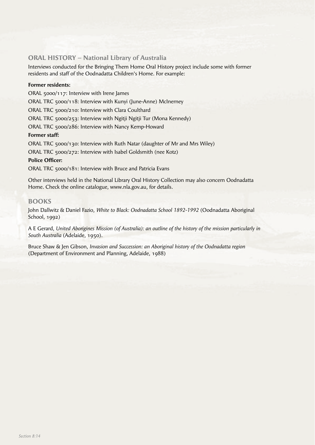## **ORAL HISTORY – National Library of Australia**

Interviews conducted for the Bringing Them Home Oral History project include some with former residents and staff of the Oodnadatta Children's Home. For example:

#### **Former residents:**

ORAL 5000/117: Interview with Irene James

ORAL TRC 5000/118: Interview with Kunyi (June-Anne) McInerney

ORAL TRC 5000/210: Interview with Clara Coulthard

ORAL TRC 5000/253: Interview with Ngitji Ngitji Tur (Mona Kennedy)

ORAL TRC 5000/286: Interview with Nancy Kemp-Howard

#### **Former staff:**

ORAL TRC 5000/130: Interview with Ruth Natar (daughter of Mr and Mrs Wiley)

ORAL TRC 5000/272: Interview with Isabel Goldsmith (nee Kotz)

## **Police Officer:**

ORAL TRC 5000/181: Interview with Bruce and Patricia Evans

Other interviews held in the National Library Oral History Collection may also concern Oodnadatta Home. Check the online catalogue, www.nla.gov.au, for details.

## **BOOKS**

John Dallwitz & Daniel Fazio, *White to Black: Oodnadatta School 1892-1992* (Oodnadatta Aboriginal School, 1992)

A E Gerard, *United Aborigines Mission (of Australia): an outline of the history of the mission particularly in South Australia* (Adelaide, 1950).

Bruce Shaw & Jen Gibson, *Invasion and Succession: an Aboriginal history of the Oodnadatta region*  (Department of Environment and Planning, Adelaide, 1988)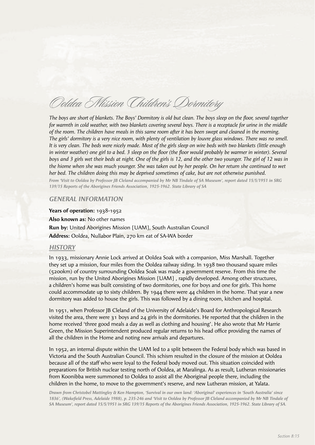Ooldea Mission Children's Dormitory

*The boys are short of blankets. The Boys' Dormitory is old but clean. The boys sleep on the floor, several together for warmth in cold weather, with two blankets covering several boys. There is a receptacle for urine in the middle of the room. The children have meals in this same room after it has been swept and cleaned in the morning. The girls' dormitory is a very nice room, with plenty of ventilation by louvre glass windows. There was no smell. It is very clean. The beds were nicely made. Most of the girls sleep on wire beds with two blankets (little enough in winter weather) one girl to a bed. 3 sleep on the floor (the floor would probably be warmer in winter). Several boys and 3 girls wet their beds at night. One of the girls is 12, and the other two younger. The girl of 12 was in the hiome when she was much younger. She was taken out by her people. On her return she continued to wet her bed. The children doing this may be deprived sometimes of cake, but are not otherwise punished.*

*From 'Visit to Ooldea by Professor JB Cleland accompanied by Mr NB Tindale of SA Museum', report dated 15/5/1951 in SRG 139/15 Reports of the Aborigines Friends Association, 1925-1962. State Library of SA*

#### *GENERAL INFORMATION*

**Years of operation:** 1938-1952 **Also known as:** No other names **Run by:** United Aborigines Mission [UAM], South Australian Council **Address:** Ooldea, Nullabor Plain, 270 km eat of SA-WA border

#### *HISTORY*

In 1933, missionary Annie Lock arrived at Ooldea Soak with a companion, Miss Marshall. Together they set up a mission, four miles from the Ooldea railway siding. In 1938 two thousand square miles (5200km) of country surrounding Ooldea Soak was made a government reserve. From this time the mission, run by the United Aborigines Mission [UAM] , rapidly developed. Among other structures, a children's home was built consisting of two dormitories, one for boys and one for girls. This home could accommodate up to sixty children. By 1944 there were 44 children in the home. That year a new dormitory was added to house the girls. This was followed by a dining room, kitchen and hospital.

In 1951, when Professor JB Cleland of the University of Adelaide's Board for Anthropological Research visited the area, there were 31 boys and 24 girls in the dormitories. He reported that the children in the home received 'three good meals a day as well as clothing and housing'. He also wrote that Mr Harrie Green, the Mission Superintendent produced regular returns to his head office providing the names of all the children in the Home and noting new arrivals and departures.

In 1952, an internal dispute within the UAM led to a split between the Federal body which was based in Victoria and the South Australian Council. This schism resulted in the closure of the mission at Ooldea because all of the staff who were loyal to the Federal body moved out. This situation coincided with preparations for British nuclear testing north of Ooldea, at Maralinga. As as result, Lutheran missionaries from Koonibba were summoned to Ooldea to assist all the Aboriginal people there, including the children in the home, to move to the government's reserve, and new Lutheran mission, at Yalata.

*Drawn from Christobel Mattingley & Ken Hampton, 'Survival in our own land: 'Aboriginal' experiences in 'South Australia' since*  1836', (Wakefield Press, Adelaide 1988), p. 235-246 and 'Visit to Ooldea by Professor JB Cleland accompanied by Mr NB Tindale of *SA Museum', report dated 15/5/1951 in SRG 139/15 Reports of the Aborigines Friends Association, 1925-1962. State Library of SA.*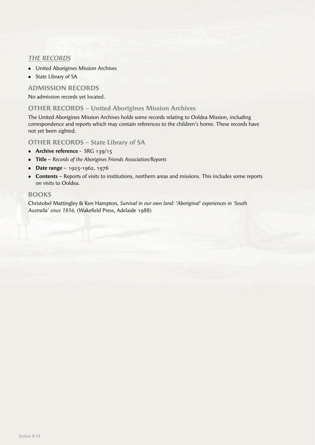# *THE RECORDS*

- United Aborigines Mission Archives
- State Library of SA

# **ADMISSION RECORDS**

No admission records yet located.

## **OTHER RECORDS – United Aborigines Mission Archives**

The United Aborigines Mission Archives holds some records relating to Ooldea Mission, including correspondence and reports which may contain references to the children's home. These records have not yet been sighted.

**OTHER RECORDS – State Library of SA**

- **•** Archive reference SRG 139/15
- <sup>l</sup> **Title** *Records of the Aborigines Friends Association/Reports*
- **•** Date range 1925-1962, 1976
- **Contents** Reports of visits to institutions, northern areas and missions. This includes some reports on visits to Ooldea.

## **BOOKS**

Christobel Mattingley & Ken Hampton, *Survival in our own land: 'Aboriginal' experiences in 'South*  Australia' since 1836, (Wakefield Press, Adelaide 1988)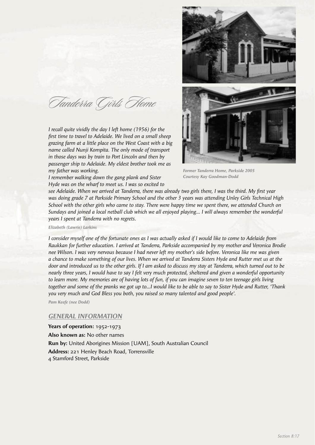Tanderra Girls Home

*I recall quite vividly the day I left home (1956) for the fi rst time to travel to Adelaide. We lived on a small sheep grazing farm at a little place on the West Coast with a big name called Nunji Kompita. The only mode of transport in those days was by train to Port Lincoln and then by passenger ship to Adelaide. My eldest brother took me as my father was working.* 

*I remember walking down the gang plank and Sister Hyde was on the wharf to meet us. I was so excited to* 



*Former Tanderra Home, Parkside 2005 Courtesy Kay Goodman-Dodd*

see Adelaide. When we arrived at Tanderra, there was already two girls there, I was the third. My first year *was doing grade 7 at Parkside Primary School and the other 3 years was attending Unley Girls Technical High School with the other girls who came to stay. There were happy time we spent there, we attended Church on Sundays and joined a local netball club which we all enjoyed playing… I will always remember the wonderful years I spent at Tanderra with no regrets.*

*Elizabeth (Lawrie) Larkins*

*I consider myself one of the fortunate ones as I was actually asked if I would like to come to Adelaide from Raukkan for further education. I arrived at Tanderra, Parkside accompanied by my mother and Veronica Brodie nee Wilson. I was very nervous because I had never left my mother's side before. Veronica like me was given a chance to make something of our lives. When we arrived at Tanderra Sisters Hyde and Rutter met us at the door and introduced us to the other girls. If I am asked to discuss my stay at Tanderra, which turned out to be nearly three years, I would have to say I felt very much protected, sheltered and given a wonderful opportunity to learn more. My memories are of having lots of fun, if you can imagine seven to ten teenage girls living together and some of the pranks we got up to…I would like to be able to say to Sister Hyde and Rutter, 'Thank you very much and God Bless you both, you raised so many talented and good people'.*

*Pam Keefe (nee Dodd)*

## *GENERAL INFORMATION*

**Years of operation:** 1952-1973 **Also known as:** No other names **Run by:** United Aborigines Mission [UAM], South Australian Council **Address:** 221 Henley Beach Road, Torrensville 4 Stamford Street, Parkside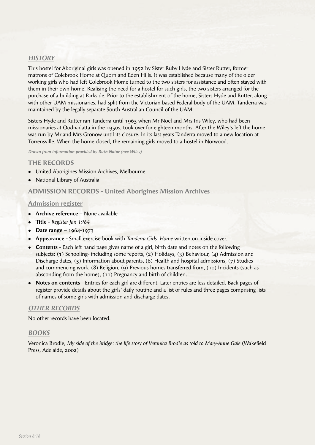# *HISTORY*

This hostel for Aboriginal girls was opened in 1952 by Sister Ruby Hyde and Sister Rutter, former matrons of Colebrook Home at Quorn and Eden Hills. It was established because many of the older working girls who had left Colebrook Home turned to the two sisters for assistance and often stayed with them in their own home. Realising the need for a hostel for such girls, the two sisters arranged for the purchase of a building at Parkside. Prior to the establishment of the home, Sisters Hyde and Rutter, along with other UAM missionaries, had split from the Victorian based Federal body of the UAM. Tanderra was maintained by the legally separate South Australian Council of the UAM.

Sisters Hyde and Rutter ran Tanderra until 1963 when Mr Noel and Mrs Iris Wiley, who had been missionaries at Oodnadatta in the 1950s, took over for eighteen months. After the Wiley's left the home was run by Mr and Mrs Gronow until its closure. In its last years Tanderra moved to a new location at Torrensville. When the home closed, the remaining girls moved to a hostel in Norwood.

*Drawn from information provided by Ruth Natar (nee Wiley)*

## **THE RECORDS**

- United Aborigines Mission Archives, Melbourne
- National Library of Australia

## **ADMISSION RECORDS - United Aborigines Mission Archives**

#### **Admission register**

- **Archive reference** None available
- **•** Title *Register Jan 1964*
- **•** Date range 1964-1973
- <sup>l</sup> **Appearance** Small exercise book with *Tanderra Girls' Home* written on inside cover.
- **Contents** Each left hand page gives name of a girl, birth date and notes on the following subjects: (1) Schooling- including some reports, (2) Holidays, (3) Behaviour, (4) Admission and Discharge dates, (5) Information about parents, (6) Health and hospital admissions, (7) Studies and commencing work, (8) Religion, (9) Previous homes transferred from, (10) Incidents (such as absconding from the home), (11) Pregnancy and birth of children.
- **Notes on contents** Entries for each girl are different. Later entries are less detailed. Back pages of register provide details about the girls' daily routine and a list of rules and three pages comprising lists of names of some girls with admission and discharge dates.

#### *OTHER RECORDS*

No other records have been located.

#### *BOOKS*

Veronica Brodie, My side of the bridge: the life story of Veronica Brodie as told to Mary-Anne Gale (Wakefield Press, Adelaide, 2002)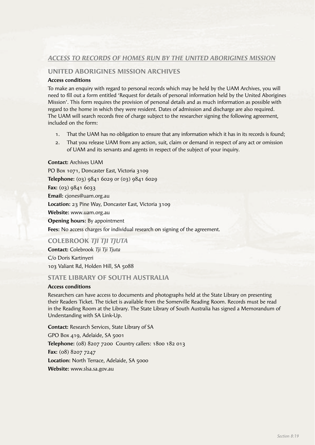# *ACCESS TO RECORDS OF HOMES RUN BY THE UNITED ABORIGINES MISSION*

# **UNITED ABORIGINES MISSION ARCHIVES**

#### **Access conditions**

To make an enquiry with regard to personal records which may be held by the UAM Archives, you will need to fill out a form entitled 'Request for details of personal information held by the United Aborigines Mission'. This form requires the provision of personal details and as much information as possible with regard to the home in which they were resident. Dates of admission and discharge are also required. The UAM will search records free of charge subject to the researcher signing the following agreement, included on the form:

- 1. That the UAM has no obligation to ensure that any information which it has in its records is found;
- 2. That you release UAM from any action, suit, claim or demand in respect of any act or omission of UAM and its servants and agents in respect of the subject of your inquiry.

#### **Contact:** Archives UAM

PO Box 1071, Doncaster East, Victoria 3109 **Telephone:** (03) 9841 6029 or (03) 9841 6029 **Fax:** (03) 9841 6033 **Email:** cjones@uam.org.au **Location:** 23 Pine Way, Doncaster East, Victoria 3109 **Website:** www.uam.org.au **Opening hours:** By appointment **Fees:** No access charges for individual research on signing of the agreement.

**COLEBROOK** *TJI TJI TJUTA*

**Contact:** Colebrook *Tji Tji Tjuta* C/o Doris Kartinyeri

103 Valiant Rd, Holden Hill, SA 5088

## **STATE LIBRARY OF SOUTH AUSTRALIA**

## **Access conditions**

Researchers can have access to documents and photographs held at the State Library on presenting their Readers Ticket. The ticket is available from the Somerville Reading Room. Records must be read in the Reading Room at the Library. The State Library of South Australia has signed a Memorandum of Understanding with SA Link-Up.

**Contact:** Research Services, State Library of SA GPO Box 419, Adelaide, SA 5001 **Telephone:** (08) 8207 7200 Country callers: 1800 182 013 **Fax:** (08) 8207 7247 Location: North Terrace, Adelaide, SA 5000 **Website:** www.slsa.sa.gov.au